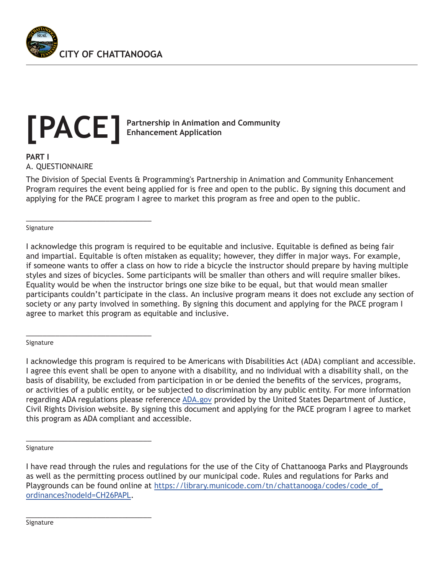

\_\_\_\_\_\_\_\_\_\_\_\_\_\_\_\_\_\_\_\_\_\_\_\_\_\_\_\_\_\_

\_\_\_\_\_\_\_\_\_\_\_\_\_\_\_\_\_\_\_\_\_\_\_\_\_\_\_\_\_\_

\_\_\_\_\_\_\_\_\_\_\_\_\_\_\_\_\_\_\_\_\_\_\_\_\_\_\_\_\_\_

\_\_\_\_\_\_\_\_\_\_\_\_\_\_\_\_\_\_\_\_\_\_\_\_\_\_\_\_\_\_

# **Partnership in Animation and Community [PACE] Enhancement Application**

**PART I** A. QUESTIONNAIRE

The Division of Special Events & Programming's Partnership in Animation and Community Enhancement Program requires the event being applied for is free and open to the public. By signing this document and applying for the PACE program I agree to market this program as free and open to the public.

Signature

I acknowledge this program is required to be equitable and inclusive. Equitable is defined as being fair and impartial. Equitable is often mistaken as equality; however, they differ in major ways. For example, if someone wants to offer a class on how to ride a bicycle the instructor should prepare by having multiple styles and sizes of bicycles. Some participants will be smaller than others and will require smaller bikes. Equality would be when the instructor brings one size bike to be equal, but that would mean smaller participants couldn't participate in the class. An inclusive program means it does not exclude any section of society or any party involved in something. By signing this document and applying for the PACE program I agree to market this program as equitable and inclusive.

#### Signature

I acknowledge this program is required to be Americans with Disabilities Act (ADA) compliant and accessible. I agree this event shall be open to anyone with a disability, and no individual with a disability shall, on the basis of disability, be excluded from participation in or be denied the benefits of the services, programs, or activities of a public entity, or be subjected to discrimination by any public entity. For more information regarding ADA regulations please reference ADA.gov provided by the United States Department of Justice, Civil Rights Division website. By signing this document and applying for the PACE program I agree to market this program as ADA compliant and accessible.

Signature

I have read through the rules and regulations for the use of the City of Chattanooga Parks and Playgrounds as well as the permitting process outlined by our municipal code. Rules and regulations for Parks and Playgrounds can be found online at https://library.municode.com/tn/chattanooga/codes/code\_of\_ ordinances?nodeId=CH26PAPL.

Signature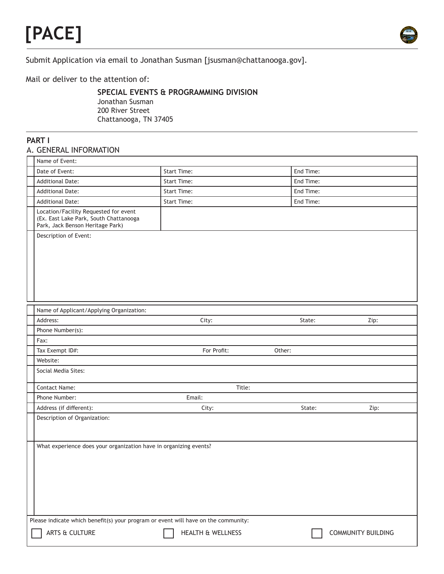# **[PACE]**



Submit Application via email to Jonathan Susman [jsusman@chattanooga.gov].

Mail or deliver to the attention of:

## **SPECIAL EVENTS & PROGRAMMING DIVISION**

Jonathan Susman 200 River Street Chattanooga, TN 37405

#### **PART I** A. GENERAL INFORMATION

| Name of Event:                                                                                                      |                              |           |                           |  |  |  |
|---------------------------------------------------------------------------------------------------------------------|------------------------------|-----------|---------------------------|--|--|--|
| Date of Event:                                                                                                      | <b>Start Time:</b>           | End Time: |                           |  |  |  |
| <b>Additional Date:</b>                                                                                             | <b>Start Time:</b>           | End Time: |                           |  |  |  |
| <b>Additional Date:</b>                                                                                             | <b>Start Time:</b>           | End Time: |                           |  |  |  |
| <b>Additional Date:</b>                                                                                             | <b>Start Time:</b>           | End Time: |                           |  |  |  |
| Location/Facility Requested for event<br>(Ex. East Lake Park, South Chattanooga<br>Park, Jack Benson Heritage Park) |                              |           |                           |  |  |  |
| Description of Event:                                                                                               |                              |           |                           |  |  |  |
| Name of Applicant/Applying Organization:                                                                            |                              |           |                           |  |  |  |
| Address:                                                                                                            | City:                        | State:    | Zip:                      |  |  |  |
| Phone Number(s):                                                                                                    |                              |           |                           |  |  |  |
| Fax:                                                                                                                |                              |           |                           |  |  |  |
| Tax Exempt ID#:                                                                                                     | For Profit:                  | Other:    |                           |  |  |  |
| Website:                                                                                                            |                              |           |                           |  |  |  |
| Social Media Sites:                                                                                                 |                              |           |                           |  |  |  |
| Contact Name:                                                                                                       | Title:                       |           |                           |  |  |  |
| Phone Number:                                                                                                       | Email:                       |           |                           |  |  |  |
| Address (if different):                                                                                             | City:                        | State:    | Zip:                      |  |  |  |
| Description of Organization:                                                                                        |                              |           |                           |  |  |  |
| What experience does your organization have in organizing events?                                                   |                              |           |                           |  |  |  |
| Please indicate which benefit(s) your program or event will have on the community:                                  |                              |           |                           |  |  |  |
| ARTS & CULTURE                                                                                                      | <b>HEALTH &amp; WELLNESS</b> |           | <b>COMMUNITY BUILDING</b> |  |  |  |
|                                                                                                                     |                              |           |                           |  |  |  |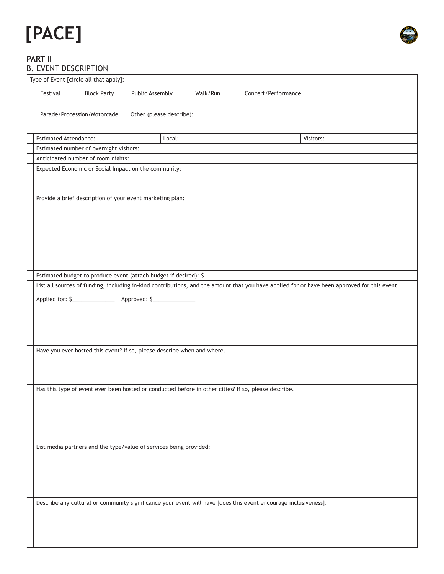# **[PACE]**



#### **PART II** B. EVENT DESCRIPTION

| LYLIYI DLJUNI IIVIY          |                                                                                                                                              |                                                                                                                 |          |                     |  |           |  |
|------------------------------|----------------------------------------------------------------------------------------------------------------------------------------------|-----------------------------------------------------------------------------------------------------------------|----------|---------------------|--|-----------|--|
|                              | Type of Event [circle all that apply]:                                                                                                       |                                                                                                                 |          |                     |  |           |  |
| Festival                     | <b>Block Party</b>                                                                                                                           | Public Assembly                                                                                                 | Walk/Run | Concert/Performance |  |           |  |
|                              | Parade/Procession/Motorcade                                                                                                                  | Other (please describe):                                                                                        |          |                     |  |           |  |
| <b>Estimated Attendance:</b> |                                                                                                                                              | Local:                                                                                                          |          |                     |  | Visitors: |  |
|                              | Estimated number of overnight visitors:                                                                                                      |                                                                                                                 |          |                     |  |           |  |
|                              | Anticipated number of room nights:                                                                                                           |                                                                                                                 |          |                     |  |           |  |
|                              |                                                                                                                                              | Expected Economic or Social Impact on the community:                                                            |          |                     |  |           |  |
|                              |                                                                                                                                              | Provide a brief description of your event marketing plan:                                                       |          |                     |  |           |  |
|                              |                                                                                                                                              | Estimated budget to produce event (attach budget if desired): \$                                                |          |                     |  |           |  |
|                              | List all sources of funding, including in-kind contributions, and the amount that you have applied for or have been approved for this event. |                                                                                                                 |          |                     |  |           |  |
|                              |                                                                                                                                              |                                                                                                                 |          |                     |  |           |  |
|                              |                                                                                                                                              | Have you ever hosted this event? If so, please describe when and where.                                         |          |                     |  |           |  |
|                              |                                                                                                                                              | Has this type of event ever been hosted or conducted before in other cities? If so, please describe.            |          |                     |  |           |  |
|                              |                                                                                                                                              | List media partners and the type/value of services being provided:                                              |          |                     |  |           |  |
|                              |                                                                                                                                              | Describe any cultural or community significance your event will have [does this event encourage inclusiveness]: |          |                     |  |           |  |